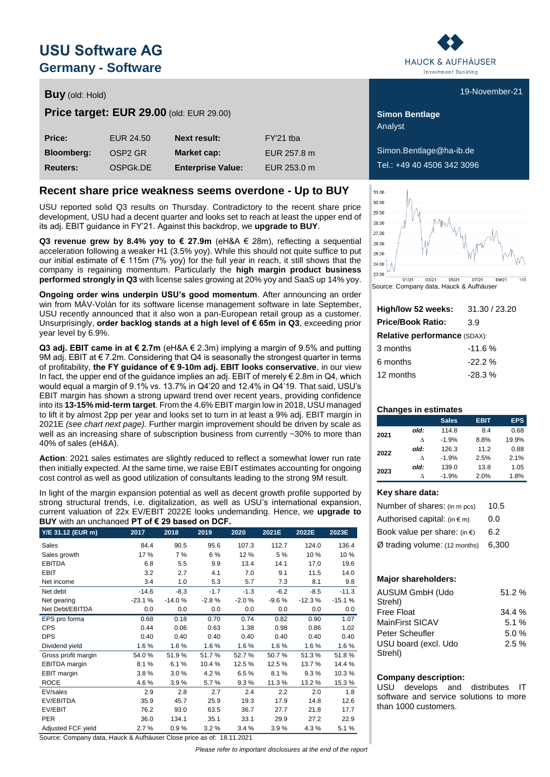# **USU Software AG Germany - Software**

# **Buy** (old: Hold) **Buy** (old: Hold) **Buy** (old: Hold)

**Price target: EUR 29.00** (old: EUR 29.00) **Simon Bentlage** 

| Price:            | EUR 24.50            | <b>Next result:</b>      | FY'21 tba   |
|-------------------|----------------------|--------------------------|-------------|
| <b>Bloomberg:</b> | OSP <sub>2</sub> GR  | Market cap:              | EUR 257.8 m |
| <b>Reuters:</b>   | OSPG <sub>k.DE</sub> | <b>Enterprise Value:</b> | EUR 253.0 m |

### **Recent share price weakness seems overdone - Up to BUY**

USU reported solid Q3 results on Thursday. Contradictory to the recent share price development, USU had a decent quarter and looks set to reach at least the upper end of its adj. EBIT guidance in FY'21. Against this backdrop, we **upgrade to BUY**.

**Q3 revenue grew by 8.4% yoy to € 27.9m (eH&A**  $∈$  **28m), reflecting a sequential** acceleration following a weaker H1 (3.5% yoy). While this should not quite suffice to put our initial estimate of  $\epsilon$  115m (7% yoy) for the full year in reach, it still shows that the company is regaining momentum. Particularly the **high margin product business performed strongly in Q3** with license sales growing at 20% yoy and SaaS up 14% yoy.

**Ongoing order wins underpin USU's good momentum**. After announcing an order win from MÀV-Volán for its software license management software in late September, USU recently announced that it also won a pan-European retail group as a customer. Unsurprisingly, **order backlog stands at a high level of € 65m in Q3**, exceeding prior year level by 6.9%.

**Q3 adj. EBIT came in at € 2.7m** (eH&A € 2.3m) implying a margin of 9.5% and putting 9M adj. EBIT at € 7.2m. Considering that Q4 is seasonally the strongest quarter in terms of profitability, **the FY guidance of € 9-10m adj. EBIT looks conservative**, in our view In fact, the upper end of the guidance implies an adj. EBIT of merely  $\epsilon$  2.8m in Q4, which would equal a margin of 9.1% vs. 13.7% in Q4'20 and 12.4% in Q4'19. That said, USU's EBIT margin has shown a strong upward trend over recent years, providing confidence into its **13-15% mid-term target**. From the 4.6% EBIT margin low in 2018, USU managed to lift it by almost 2pp per year and looks set to turn in at least a 9% adj. EBIT margin in 2021E *(see chart next page).* Further margin improvement should be driven by scale as well as an increasing share of subscription business from currently ~30% to more than 40% of sales (eH&A).

**Action**: 2021 sales estimates are slightly reduced to reflect a somewhat lower run rate then initially expected. At the same time, we raise EBIT estimates accounting for ongoing cost control as well as good utilization of consultants leading to the strong 9M result.

In light of the margin expansion potential as well as decent growth profile supported by strong structural trends, i.e. digitalization, as well as USU's international expansion, current valuation of 22x EV/EBIT 2022E looks undemanding. Hence, we **upgrade to BUY** with an unchanged **PT of € 29 based on DCF.**

| Y/E 31.12 (EUR m)    | 2017     | 2018     | 2019    | 2020    | 2021E   | 2022E    | 2023E    |
|----------------------|----------|----------|---------|---------|---------|----------|----------|
| Sales                | 84.4     | 90.5     | 95.6    | 107.3   | 112.7   | 124.0    | 136.4    |
| Sales growth         | 17 %     | 7 %      | 6 %     | 12%     | 5 %     | 10%      | 10 %     |
| <b>EBITDA</b>        | 6.8      | 5.5      | 9.9     | 13.4    | 14.1    | 17.0     | 19.6     |
| <b>EBIT</b>          | 3.2      | 2.7      | 4.1     | 7.0     | 9.1     | 11.5     | 14.0     |
| Net income           | 3.4      | 1.0      | 5.3     | 5.7     | 7.3     | 8.1      | 9.8      |
| Net debt             | $-14.6$  | $-8.3$   | $-1.7$  | $-1.3$  | $-6.2$  | $-8.5$   | $-11.3$  |
| Net gearing          | $-23.1%$ | $-14.0%$ | $-2.8%$ | $-2.0%$ | $-9.6%$ | $-12.3%$ | $-15.1%$ |
| Net Debt/EBITDA      | 0.0      | 0.0      | 0.0     | 0.0     | 0.0     | 0.0      | 0.0      |
| EPS pro forma        | 0.68     | 0.18     | 0.70    | 0.74    | 0.82    | 0.90     | 1.07     |
| <b>CPS</b>           | 0.44     | 0.06     | 0.63    | 1.38    | 0.98    | 0.86     | 1.02     |
| <b>DPS</b>           | 0.40     | 0.40     | 0.40    | 0.40    | 0.40    | 0.40     | 0.40     |
| Dividend yield       | 1.6%     | 1.6%     | 1.6%    | 1.6%    | 1.6%    | 1.6%     | 1.6%     |
| Gross profit margin  | 54.0%    | 51.9%    | 51.7%   | 52.7%   | 50.7%   | 51.3%    | 51.8%    |
| <b>EBITDA</b> margin | 8.1%     | 6.1%     | 10.4%   | 12.5%   | 12.5%   | 13.7%    | 14.4 %   |
| <b>EBIT</b> margin   | 3.8%     | 3.0%     | 4.2%    | 6.5%    | 8.1%    | 9.3%     | 10.3%    |
| <b>ROCE</b>          | 4.6%     | 3.9%     | 5.7%    | 9.3%    | 11.3%   | 13.2%    | 15.3%    |
| EV/sales             | 2.9      | 2.8      | 2.7     | 2.4     | 2.2     | 2.0      | 1.8      |
| EV/EBITDA            | 35.9     | 45.7     | 25.9    | 19.3    | 17.9    | 14.8     | 12.6     |
| EV/EBIT              | 76.2     | 93.0     | 63.5    | 36.7    | 27.7    | 21.8     | 17.7     |
| <b>PER</b>           | 36.0     | 134.1    | 35.1    | 33.1    | 29.9    | 27.2     | 22.9     |
| Adjusted FCF yield   | 2.7%     | 0.9%     | 3.2%    | 3.4%    | 3.9%    | 4.3%     | 5.1%     |

Source: Company data, Hauck & Aufhäuser Close price as of: 18.11.2021

*Please refer to important disclosures at the end of the report*



Analyst

 $Simon.$ Bentlage@ha-ib.de Tel.: +49 40 4506 342 3096



Source: Company data, Hauck & Aufhäuser

| High/low 52 weeks:                  | 31.30 / 23.20 |  |  |  |  |  |  |  |
|-------------------------------------|---------------|--|--|--|--|--|--|--|
| <b>Price/Book Ratio:</b>            | 3.9           |  |  |  |  |  |  |  |
| <b>Relative performance (SDAX):</b> |               |  |  |  |  |  |  |  |
| 3 months                            | $-11.6%$      |  |  |  |  |  |  |  |
| 6 months                            | $-22.2%$      |  |  |  |  |  |  |  |
| 12 months                           | $-28.3%$      |  |  |  |  |  |  |  |
|                                     |               |  |  |  |  |  |  |  |

### **Changes in estimates**

|      |      | <b>Sales</b> | <b>EBIT</b> | <b>EPS</b> |
|------|------|--------------|-------------|------------|
| 2021 | old: | 114.8        | 8.4         | 0.68       |
|      | л    | $-1.9%$      | 8.8%        | 19.9%      |
| 2022 | old: | 126.3        | 11.2        | 0.88       |
|      | л    | $-1.9%$      | 2.5%        | 2.1%       |
|      | old: | 139.0        | 13.8        | 1.05       |
| 2023 |      | $-1.9%$      | 2.0%        | 1.8%       |

#### **Key share data:**

| Number of shares: (in m pcs)           | 10.5  |
|----------------------------------------|-------|
| Authorised capital: $(in \in m)$       | 0.0   |
| Book value per share: (in $\epsilon$ ) | 6.2   |
| $Ø$ trading volume: (12 months)        | 6.300 |

### **Major shareholders:**

| <b>AUSUM GmbH (Udo</b><br>Strehl) | $51.2 \%$ |
|-----------------------------------|-----------|
| Free Float                        | 34.4%     |
| MainFirst SICAV                   | 5.1%      |
| Peter Scheufler                   | 5.0%      |
| USU board (excl. Udo              | 2.5%      |
| Strehl)                           |           |

### **Company description:**

USU develops and distributes IT software and service solutions to more than 1000 customers.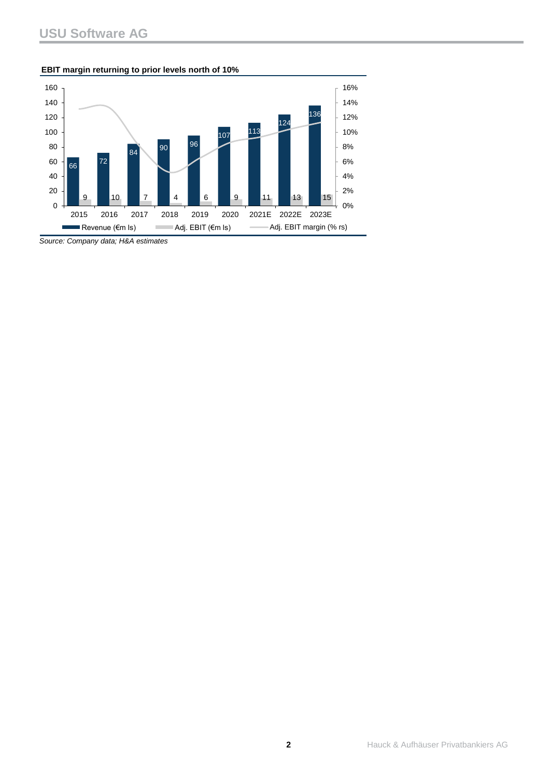### **EBIT margin returning to prior levels north of 10%**



*Source: Company data; H&A estimates*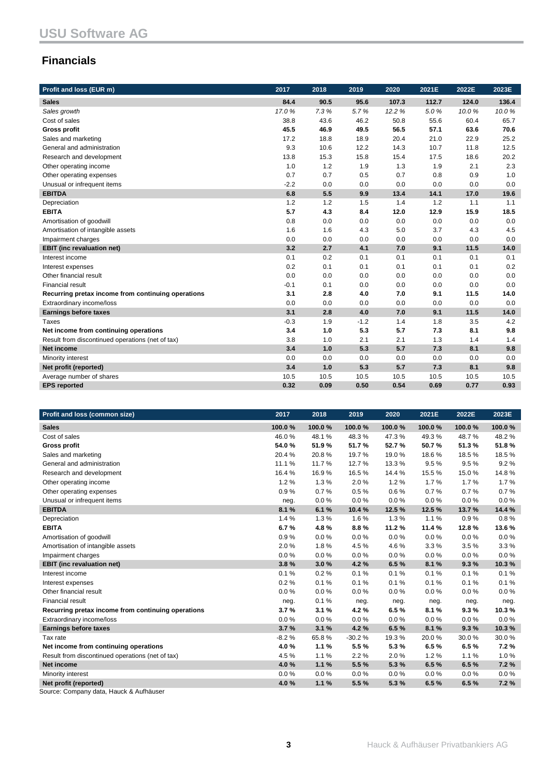## **Financials**

| Profit and loss (EUR m)                            | 2017   | 2018 | 2019   | 2020   | 2021E | 2022E | 2023E |
|----------------------------------------------------|--------|------|--------|--------|-------|-------|-------|
| <b>Sales</b>                                       | 84.4   | 90.5 | 95.6   | 107.3  | 112.7 | 124.0 | 136.4 |
| Sales growth                                       | 17.0%  | 7.3% | 5.7%   | 12.2 % | 5.0%  | 10.0% | 10.0% |
| Cost of sales                                      | 38.8   | 43.6 | 46.2   | 50.8   | 55.6  | 60.4  | 65.7  |
| <b>Gross profit</b>                                | 45.5   | 46.9 | 49.5   | 56.5   | 57.1  | 63.6  | 70.6  |
| Sales and marketing                                | 17.2   | 18.8 | 18.9   | 20.4   | 21.0  | 22.9  | 25.2  |
| General and administration                         | 9.3    | 10.6 | 12.2   | 14.3   | 10.7  | 11.8  | 12.5  |
| Research and development                           | 13.8   | 15.3 | 15.8   | 15.4   | 17.5  | 18.6  | 20.2  |
| Other operating income                             | 1.0    | 1.2  | 1.9    | 1.3    | 1.9   | 2.1   | 2.3   |
| Other operating expenses                           | 0.7    | 0.7  | 0.5    | 0.7    | 0.8   | 0.9   | 1.0   |
| Unusual or infrequent items                        | $-2.2$ | 0.0  | 0.0    | 0.0    | 0.0   | 0.0   | 0.0   |
| <b>EBITDA</b>                                      | 6.8    | 5.5  | 9.9    | 13.4   | 14.1  | 17.0  | 19.6  |
| Depreciation                                       | 1.2    | 1.2  | 1.5    | 1.4    | 1.2   | 1.1   | 1.1   |
| <b>EBITA</b>                                       | 5.7    | 4.3  | 8.4    | 12.0   | 12.9  | 15.9  | 18.5  |
| Amortisation of goodwill                           | 0.8    | 0.0  | 0.0    | 0.0    | 0.0   | 0.0   | 0.0   |
| Amortisation of intangible assets                  | 1.6    | 1.6  | 4.3    | 5.0    | 3.7   | 4.3   | 4.5   |
| Impairment charges                                 | 0.0    | 0.0  | 0.0    | 0.0    | 0.0   | 0.0   | 0.0   |
| <b>EBIT</b> (inc revaluation net)                  | 3.2    | 2.7  | 4.1    | 7.0    | 9.1   | 11.5  | 14.0  |
| Interest income                                    | 0.1    | 0.2  | 0.1    | 0.1    | 0.1   | 0.1   | 0.1   |
| Interest expenses                                  | 0.2    | 0.1  | 0.1    | 0.1    | 0.1   | 0.1   | 0.2   |
| Other financial result                             | 0.0    | 0.0  | 0.0    | 0.0    | 0.0   | 0.0   | 0.0   |
| <b>Financial result</b>                            | $-0.1$ | 0.1  | 0.0    | 0.0    | 0.0   | 0.0   | 0.0   |
| Recurring pretax income from continuing operations | 3.1    | 2.8  | 4.0    | 7.0    | 9.1   | 11.5  | 14.0  |
| Extraordinary income/loss                          | 0.0    | 0.0  | 0.0    | 0.0    | 0.0   | 0.0   | 0.0   |
| <b>Earnings before taxes</b>                       | 3.1    | 2.8  | 4.0    | 7.0    | 9.1   | 11.5  | 14.0  |
| Taxes                                              | $-0.3$ | 1.9  | $-1.2$ | 1.4    | 1.8   | 3.5   | 4.2   |
| Net income from continuing operations              | 3.4    | 1.0  | 5.3    | 5.7    | 7.3   | 8.1   | 9.8   |
| Result from discontinued operations (net of tax)   | 3.8    | 1.0  | 2.1    | 2.1    | 1.3   | 1.4   | 1.4   |
| <b>Net income</b>                                  | 3.4    | 1.0  | 5.3    | 5.7    | 7.3   | 8.1   | 9.8   |
| Minority interest                                  | 0.0    | 0.0  | 0.0    | 0.0    | 0.0   | 0.0   | 0.0   |
| Net profit (reported)                              | 3.4    | 1.0  | 5.3    | 5.7    | 7.3   | 8.1   | 9.8   |
| Average number of shares                           | 10.5   | 10.5 | 10.5   | 10.5   | 10.5  | 10.5  | 10.5  |
| <b>EPS</b> reported                                | 0.32   | 0.09 | 0.50   | 0.54   | 0.69  | 0.77  | 0.93  |

| Profit and loss (common size)                      | 2017    | 2018   | 2019     | 2020   | 2021E  | 2022E  | 2023E  |
|----------------------------------------------------|---------|--------|----------|--------|--------|--------|--------|
| <b>Sales</b>                                       | 100.0%  | 100.0% | 100.0%   | 100.0% | 100.0% | 100.0% | 100.0% |
| Cost of sales                                      | 46.0%   | 48.1%  | 48.3%    | 47.3%  | 49.3%  | 48.7%  | 48.2%  |
| <b>Gross profit</b>                                | 54.0%   | 51.9%  | 51.7%    | 52.7%  | 50.7%  | 51.3%  | 51.8%  |
| Sales and marketing                                | 20.4%   | 20.8%  | 19.7%    | 19.0%  | 18.6%  | 18.5%  | 18.5%  |
| General and administration                         | 11.1 %  | 11.7%  | 12.7%    | 13.3%  | 9.5%   | 9.5%   | 9.2%   |
| Research and development                           | 16.4%   | 16.9%  | 16.5%    | 14.4 % | 15.5%  | 15.0%  | 14.8%  |
| Other operating income                             | 1.2%    | 1.3%   | 2.0%     | 1.2%   | 1.7%   | 1.7%   | 1.7%   |
| Other operating expenses                           | 0.9%    | 0.7%   | 0.5%     | 0.6%   | 0.7%   | 0.7%   | 0.7%   |
| Unusual or infrequent items                        | neg.    | 0.0%   | 0.0%     | 0.0%   | 0.0%   | 0.0%   | 0.0%   |
| <b>EBITDA</b>                                      | 8.1%    | 6.1%   | 10.4%    | 12.5 % | 12.5 % | 13.7%  | 14.4 % |
| Depreciation                                       | 1.4%    | 1.3%   | 1.6%     | 1.3%   | 1.1%   | 0.9%   | 0.8%   |
| <b>EBITA</b>                                       | 6.7%    | 4.8%   | 8.8%     | 11.2%  | 11.4%  | 12.8%  | 13.6%  |
| Amortisation of goodwill                           | 0.9%    | 0.0%   | 0.0%     | 0.0%   | 0.0%   | 0.0%   | 0.0%   |
| Amortisation of intangible assets                  | 2.0%    | 1.8%   | 4.5%     | 4.6%   | 3.3%   | 3.5%   | 3.3%   |
| Impairment charges                                 | 0.0%    | 0.0%   | 0.0%     | 0.0%   | 0.0%   | 0.0%   | 0.0%   |
| <b>EBIT</b> (inc revaluation net)                  | 3.8%    | 3.0%   | 4.2%     | 6.5%   | 8.1%   | 9.3%   | 10.3%  |
| Interest income                                    | 0.1%    | 0.2%   | 0.1%     | 0.1%   | 0.1%   | 0.1%   | 0.1%   |
| Interest expenses                                  | 0.2%    | 0.1%   | 0.1%     | 0.1%   | 0.1%   | 0.1%   | 0.1%   |
| Other financial result                             | 0.0%    | 0.0%   | 0.0%     | 0.0%   | 0.0%   | 0.0%   | 0.0%   |
| <b>Financial result</b>                            | neg.    | 0.1%   | neg.     | neg.   | neg.   | neg.   | neg.   |
| Recurring pretax income from continuing operations | 3.7%    | 3.1%   | 4.2%     | 6.5%   | 8.1%   | 9.3%   | 10.3%  |
| Extraordinary income/loss                          | 0.0%    | 0.0%   | 0.0%     | 0.0%   | 0.0%   | 0.0%   | 0.0%   |
| <b>Earnings before taxes</b>                       | 3.7%    | 3.1%   | 4.2%     | 6.5%   | 8.1%   | 9.3%   | 10.3%  |
| Tax rate                                           | $-8.2%$ | 65.8%  | $-30.2%$ | 19.3%  | 20.0%  | 30.0%  | 30.0%  |
| Net income from continuing operations              | 4.0%    | 1.1%   | 5.5%     | 5.3%   | 6.5%   | 6.5%   | 7.2%   |
| Result from discontinued operations (net of tax)   | 4.5%    | 1.1%   | 2.2%     | 2.0%   | 1.2%   | 1.1%   | 1.0%   |
| Net income                                         | 4.0%    | 1.1%   | 5.5 %    | 5.3 %  | 6.5%   | 6.5%   | 7.2%   |
| Minority interest                                  | 0.0%    | 0.0%   | 0.0%     | 0.0%   | 0.0%   | 0.0%   | 0.0%   |
| Net profit (reported)                              | 4.0%    | 1.1%   | 5.5%     | 5.3%   | 6.5%   | 6.5%   | 7.2%   |
| $\blacksquare$                                     |         |        |          |        |        |        |        |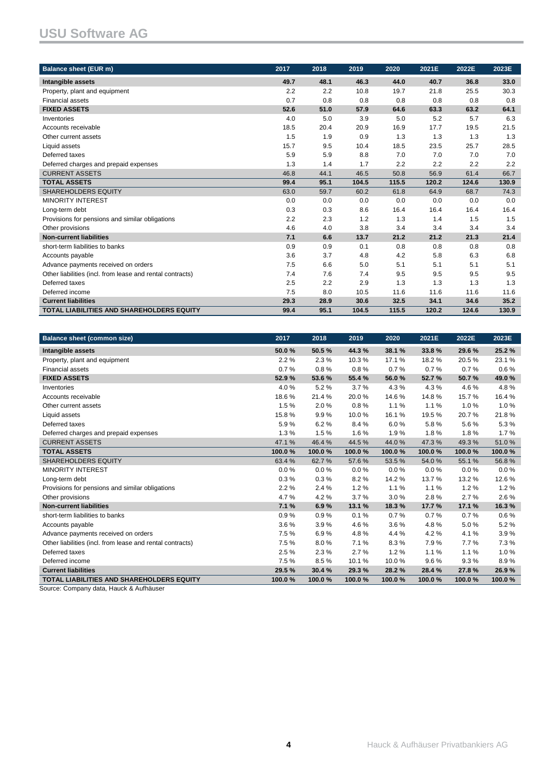# **USU Software AG**

| <b>Balance sheet (EUR m)</b>                              | 2017 | 2018 | 2019  | 2020  | 2021E | 2022E | 2023E |
|-----------------------------------------------------------|------|------|-------|-------|-------|-------|-------|
| Intangible assets                                         | 49.7 | 48.1 | 46.3  | 44.0  | 40.7  | 36.8  | 33.0  |
| Property, plant and equipment                             | 2.2  | 2.2  | 10.8  | 19.7  | 21.8  | 25.5  | 30.3  |
| <b>Financial assets</b>                                   | 0.7  | 0.8  | 0.8   | 0.8   | 0.8   | 0.8   | 0.8   |
| <b>FIXED ASSETS</b>                                       | 52.6 | 51.0 | 57.9  | 64.6  | 63.3  | 63.2  | 64.1  |
| Inventories                                               | 4.0  | 5.0  | 3.9   | 5.0   | 5.2   | 5.7   | 6.3   |
| Accounts receivable                                       | 18.5 | 20.4 | 20.9  | 16.9  | 17.7  | 19.5  | 21.5  |
| Other current assets                                      | 1.5  | 1.9  | 0.9   | 1.3   | 1.3   | 1.3   | 1.3   |
| Liquid assets                                             | 15.7 | 9.5  | 10.4  | 18.5  | 23.5  | 25.7  | 28.5  |
| Deferred taxes                                            | 5.9  | 5.9  | 8.8   | 7.0   | 7.0   | 7.0   | 7.0   |
| Deferred charges and prepaid expenses                     | 1.3  | 1.4  | 1.7   | 2.2   | 2.2   | 2.2   | 2.2   |
| <b>CURRENT ASSETS</b>                                     | 46.8 | 44.1 | 46.5  | 50.8  | 56.9  | 61.4  | 66.7  |
| <b>TOTAL ASSETS</b>                                       | 99.4 | 95.1 | 104.5 | 115.5 | 120.2 | 124.6 | 130.9 |
| <b>SHAREHOLDERS EQUITY</b>                                | 63.0 | 59.7 | 60.2  | 61.8  | 64.9  | 68.7  | 74.3  |
| <b>MINORITY INTEREST</b>                                  | 0.0  | 0.0  | 0.0   | 0.0   | 0.0   | 0.0   | 0.0   |
| Long-term debt                                            | 0.3  | 0.3  | 8.6   | 16.4  | 16.4  | 16.4  | 16.4  |
| Provisions for pensions and similar obligations           | 2.2  | 2.3  | 1.2   | 1.3   | 1.4   | 1.5   | 1.5   |
| Other provisions                                          | 4.6  | 4.0  | 3.8   | 3.4   | 3.4   | 3.4   | 3.4   |
| <b>Non-current liabilities</b>                            | 7.1  | 6.6  | 13.7  | 21.2  | 21.2  | 21.3  | 21.4  |
| short-term liabilities to banks                           | 0.9  | 0.9  | 0.1   | 0.8   | 0.8   | 0.8   | 0.8   |
| Accounts payable                                          | 3.6  | 3.7  | 4.8   | 4.2   | 5.8   | 6.3   | 6.8   |
| Advance payments received on orders                       | 7.5  | 6.6  | 5.0   | 5.1   | 5.1   | 5.1   | 5.1   |
| Other liabilities (incl. from lease and rental contracts) | 7.4  | 7.6  | 7.4   | 9.5   | 9.5   | 9.5   | 9.5   |
| Deferred taxes                                            | 2.5  | 2.2  | 2.9   | 1.3   | 1.3   | 1.3   | 1.3   |
| Deferred income                                           | 7.5  | 8.0  | 10.5  | 11.6  | 11.6  | 11.6  | 11.6  |
| <b>Current liabilities</b>                                | 29.3 | 28.9 | 30.6  | 32.5  | 34.1  | 34.6  | 35.2  |
| <b>TOTAL LIABILITIES AND SHAREHOLDERS EQUITY</b>          | 99.4 | 95.1 | 104.5 | 115.5 | 120.2 | 124.6 | 130.9 |

| <b>Balance sheet (common size)</b>                        | 2017   | 2018   | 2019   | 2020   | 2021E  | 2022E  | 2023E  |
|-----------------------------------------------------------|--------|--------|--------|--------|--------|--------|--------|
| Intangible assets                                         | 50.0%  | 50.5%  | 44.3%  | 38.1 % | 33.8%  | 29.6%  | 25.2%  |
| Property, plant and equipment                             | 2.2%   | 2.3%   | 10.3%  | 17.1%  | 18.2%  | 20.5%  | 23.1%  |
| <b>Financial assets</b>                                   | 0.7%   | 0.8%   | 0.8%   | 0.7%   | 0.7%   | 0.7%   | 0.6%   |
| <b>FIXED ASSETS</b>                                       | 52.9%  | 53.6%  | 55.4 % | 56.0%  | 52.7%  | 50.7%  | 49.0%  |
| Inventories                                               | 4.0%   | 5.2%   | 3.7%   | 4.3%   | 4.3%   | 4.6%   | 4.8%   |
| Accounts receivable                                       | 18.6%  | 21.4%  | 20.0%  | 14.6%  | 14.8%  | 15.7%  | 16.4%  |
| Other current assets                                      | 1.5%   | 2.0%   | 0.8%   | 1.1%   | 1.1%   | 1.0%   | 1.0%   |
| Liquid assets                                             | 15.8%  | 9.9%   | 10.0%  | 16.1%  | 19.5%  | 20.7%  | 21.8%  |
| Deferred taxes                                            | 5.9%   | 6.2%   | 8.4%   | 6.0%   | 5.8%   | 5.6%   | 5.3%   |
| Deferred charges and prepaid expenses                     | 1.3%   | 1.5%   | 1.6%   | 1.9%   | 1.8%   | 1.8%   | 1.7%   |
| <b>CURRENT ASSETS</b>                                     | 47.1%  | 46.4%  | 44.5%  | 44.0%  | 47.3%  | 49.3%  | 51.0%  |
| <b>TOTAL ASSETS</b>                                       | 100.0% | 100.0% | 100.0% | 100.0% | 100.0% | 100.0% | 100.0% |
| <b>SHAREHOLDERS EQUITY</b>                                | 63.4%  | 62.7%  | 57.6%  | 53.5%  | 54.0%  | 55.1%  | 56.8%  |
| <b>MINORITY INTEREST</b>                                  | 0.0%   | 0.0%   | 0.0%   | 0.0%   | 0.0%   | 0.0%   | 0.0%   |
| Long-term debt                                            | 0.3%   | 0.3%   | 8.2%   | 14.2%  | 13.7%  | 13.2%  | 12.6%  |
| Provisions for pensions and similar obligations           | 2.2%   | 2.4 %  | 1.2%   | 1.1%   | 1.1%   | 1.2%   | 1.2%   |
| Other provisions                                          | 4.7%   | 4.2%   | 3.7%   | 3.0%   | 2.8%   | 2.7%   | 2.6%   |
| <b>Non-current liabilities</b>                            | 7.1%   | 6.9%   | 13.1 % | 18.3%  | 17.7%  | 17.1 % | 16.3%  |
| short-term liabilities to banks                           | 0.9%   | 0.9%   | 0.1%   | 0.7%   | 0.7%   | 0.7%   | 0.6%   |
| Accounts payable                                          | 3.6%   | 3.9%   | 4.6%   | 3.6%   | 4.8%   | 5.0%   | 5.2%   |
| Advance payments received on orders                       | 7.5%   | 6.9%   | 4.8%   | 4.4%   | 4.2%   | 4.1%   | 3.9%   |
| Other liabilities (incl. from lease and rental contracts) | 7.5%   | 8.0%   | 7.1%   | 8.3%   | 7.9%   | 7.7%   | 7.3%   |
| Deferred taxes                                            | 2.5%   | 2.3%   | 2.7%   | 1.2%   | 1.1%   | 1.1%   | 1.0%   |
| Deferred income                                           | 7.5%   | 8.5%   | 10.1%  | 10.0%  | 9.6%   | 9.3%   | 8.9%   |
| <b>Current liabilities</b>                                | 29.5%  | 30.4 % | 29.3 % | 28.2%  | 28.4 % | 27.8%  | 26.9%  |
| <b>TOTAL LIABILITIES AND SHAREHOLDERS EQUITY</b>          | 100.0% | 100.0% | 100.0% | 100.0% | 100.0% | 100.0% | 100.0% |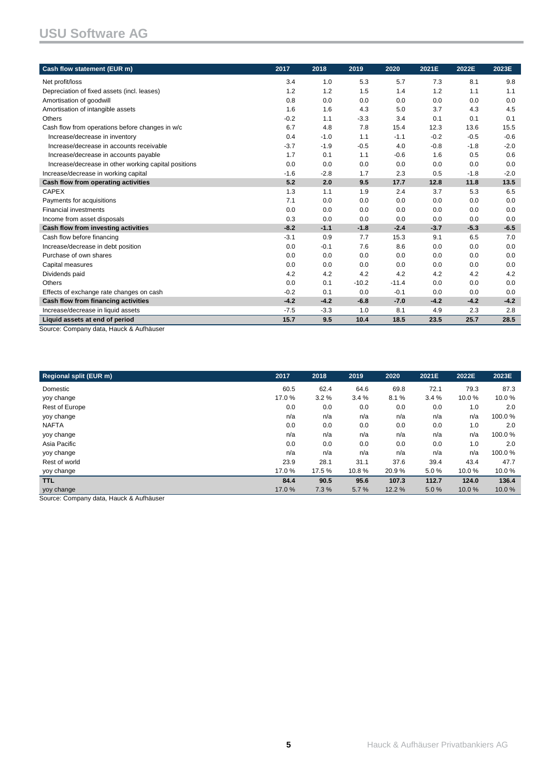| Cash flow statement (EUR m)                                               | 2017   | 2018   | 2019    | 2020    | 2021E  | 2022E  | 2023E  |
|---------------------------------------------------------------------------|--------|--------|---------|---------|--------|--------|--------|
| Net profit/loss                                                           | 3.4    | 1.0    | 5.3     | 5.7     | 7.3    | 8.1    | 9.8    |
| Depreciation of fixed assets (incl. leases)                               | 1.2    | 1.2    | 1.5     | 1.4     | 1.2    | 1.1    | 1.1    |
| Amortisation of goodwill                                                  | 0.8    | 0.0    | 0.0     | 0.0     | 0.0    | 0.0    | 0.0    |
| Amortisation of intangible assets                                         | 1.6    | 1.6    | 4.3     | 5.0     | 3.7    | 4.3    | 4.5    |
| <b>Others</b>                                                             | $-0.2$ | 1.1    | $-3.3$  | 3.4     | 0.1    | 0.1    | 0.1    |
| Cash flow from operations before changes in w/c                           | 6.7    | 4.8    | 7.8     | 15.4    | 12.3   | 13.6   | 15.5   |
| Increase/decrease in inventory                                            | 0.4    | $-1.0$ | 1.1     | $-1.1$  | $-0.2$ | $-0.5$ | $-0.6$ |
| Increase/decrease in accounts receivable                                  | $-3.7$ | $-1.9$ | $-0.5$  | 4.0     | $-0.8$ | $-1.8$ | $-2.0$ |
| Increase/decrease in accounts payable                                     | 1.7    | 0.1    | 1.1     | $-0.6$  | 1.6    | 0.5    | 0.6    |
| Increase/decrease in other working capital positions                      | 0.0    | 0.0    | 0.0     | 0.0     | 0.0    | 0.0    | 0.0    |
| Increase/decrease in working capital                                      | $-1.6$ | $-2.8$ | 1.7     | 2.3     | 0.5    | $-1.8$ | $-2.0$ |
| Cash flow from operating activities                                       | 5.2    | 2.0    | 9.5     | 17.7    | 12.8   | 11.8   | 13.5   |
| <b>CAPEX</b>                                                              | 1.3    | 1.1    | 1.9     | 2.4     | 3.7    | 5.3    | 6.5    |
| Payments for acquisitions                                                 | 7.1    | 0.0    | 0.0     | 0.0     | 0.0    | 0.0    | 0.0    |
| <b>Financial investments</b>                                              | 0.0    | 0.0    | 0.0     | 0.0     | 0.0    | 0.0    | 0.0    |
| Income from asset disposals                                               | 0.3    | 0.0    | 0.0     | 0.0     | 0.0    | 0.0    | 0.0    |
| Cash flow from investing activities                                       | $-8.2$ | $-1.1$ | $-1.8$  | $-2.4$  | $-3.7$ | $-5.3$ | $-6.5$ |
| Cash flow before financing                                                | $-3.1$ | 0.9    | 7.7     | 15.3    | 9.1    | 6.5    | 7.0    |
| Increase/decrease in debt position                                        | 0.0    | $-0.1$ | 7.6     | 8.6     | 0.0    | 0.0    | 0.0    |
| Purchase of own shares                                                    | 0.0    | 0.0    | 0.0     | 0.0     | 0.0    | 0.0    | 0.0    |
| Capital measures                                                          | 0.0    | 0.0    | 0.0     | 0.0     | 0.0    | 0.0    | 0.0    |
| Dividends paid                                                            | 4.2    | 4.2    | 4.2     | 4.2     | 4.2    | 4.2    | 4.2    |
| <b>Others</b>                                                             | 0.0    | 0.1    | $-10.2$ | $-11.4$ | 0.0    | 0.0    | 0.0    |
| Effects of exchange rate changes on cash                                  | $-0.2$ | 0.1    | 0.0     | $-0.1$  | 0.0    | 0.0    | 0.0    |
| Cash flow from financing activities                                       | $-4.2$ | $-4.2$ | $-6.8$  | $-7.0$  | $-4.2$ | $-4.2$ | $-4.2$ |
| Increase/decrease in liquid assets                                        | $-7.5$ | $-3.3$ | 1.0     | 8.1     | 4.9    | 2.3    | 2.8    |
| Liquid assets at end of period<br>Source: Company data, Houck & Aufbäuser | 15.7   | 9.5    | 10.4    | 18.5    | 23.5   | 25.7   | 28.5   |

Source: Company data, Hauck & Aufhäuser

| 2017  | 2018   | 2019  | 2020  | 2021E | 2022E | 2023E  |
|-------|--------|-------|-------|-------|-------|--------|
| 60.5  | 62.4   | 64.6  | 69.8  | 72.1  | 79.3  | 87.3   |
| 17.0% | 3.2%   | 3.4%  | 8.1%  | 3.4%  | 10.0% | 10.0%  |
| 0.0   | 0.0    | 0.0   | 0.0   | 0.0   | 1.0   | 2.0    |
| n/a   | n/a    | n/a   | n/a   | n/a   | n/a   | 100.0% |
| 0.0   | 0.0    | 0.0   | 0.0   | 0.0   | 1.0   | 2.0    |
| n/a   | n/a    | n/a   | n/a   | n/a   | n/a   | 100.0% |
| 0.0   | 0.0    | 0.0   | 0.0   | 0.0   | 1.0   | 2.0    |
| n/a   | n/a    | n/a   | n/a   | n/a   | n/a   | 100.0% |
| 23.9  | 28.1   | 31.1  | 37.6  | 39.4  | 43.4  | 47.7   |
| 17.0% | 17.5 % | 10.8% | 20.9% | 5.0%  | 10.0% | 10.0%  |
| 84.4  | 90.5   | 95.6  | 107.3 | 112.7 | 124.0 | 136.4  |
| 17.0% | 7.3 %  | 5.7%  | 12.2% | 5.0%  | 10.0% | 10.0%  |
|       |        |       |       |       |       |        |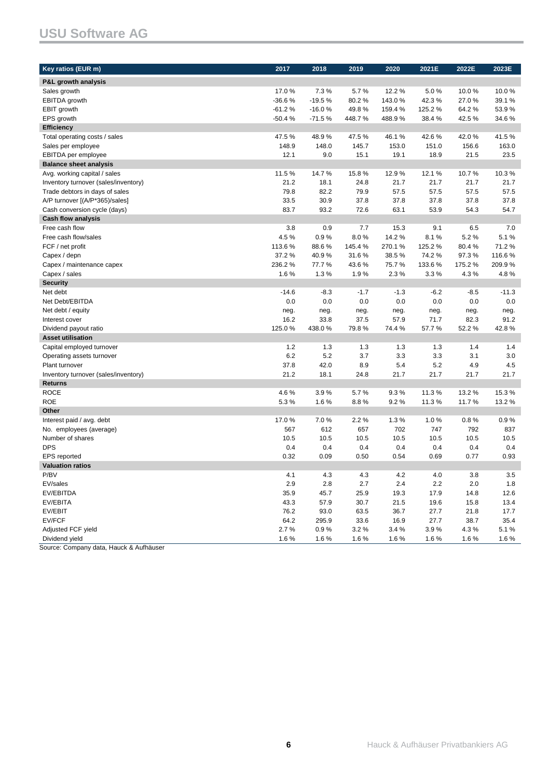# **USU Software AG**

| P&L growth analysis<br>Sales growth<br>17.0%<br>7.3%<br>5.7%<br>12.2 %<br>5.0%<br>10.0%                              | 10.0%<br>39.1 % |
|----------------------------------------------------------------------------------------------------------------------|-----------------|
|                                                                                                                      |                 |
|                                                                                                                      |                 |
| $-36.6%$<br>$-19.5%$<br>80.2%<br>27.0%<br><b>EBITDA</b> growth<br>143.0%<br>42.3%                                    |                 |
| $-61.2%$<br>EBIT growth<br>$-16.0%$<br>49.8%<br>159.4%<br>125.2%<br>64.2%                                            | 53.9%           |
| EPS growth<br>-50.4%<br>$-71.5%$<br>448.7%<br>488.9%<br>38.4%<br>42.5%                                               | 34.6%           |
| <b>Efficiency</b>                                                                                                    |                 |
| Total operating costs / sales<br>47.5%<br>48.9%<br>47.5%<br>46.1%<br>42.6%<br>42.0%                                  | 41.5%           |
| 148.9<br>Sales per employee<br>148.0<br>145.7<br>153.0<br>151.0<br>156.6                                             | 163.0           |
| 12.1<br>18.9<br>EBITDA per employee<br>9.0<br>15.1<br>19.1<br>21.5                                                   | 23.5            |
| <b>Balance sheet analysis</b>                                                                                        |                 |
| 11.5%<br>14.7%<br>15.8%<br>12.9%<br>12.1%<br>10.7%<br>Avg. working capital / sales                                   | 10.3%           |
| 21.2<br>21.7<br>Inventory turnover (sales/inventory)<br>18.1<br>24.8<br>21.7<br>21.7                                 | 21.7            |
| 79.8<br>82.2<br>57.5<br>Trade debtors in days of sales<br>79.9<br>57.5<br>57.5                                       | 57.5            |
| 37.8<br>A/P turnover [(A/P*365)/sales]<br>33.5<br>30.9<br>37.8<br>37.8<br>37.8                                       | 37.8            |
| 83.7<br>93.2<br>Cash conversion cycle (days)<br>72.6<br>63.1<br>53.9<br>54.3                                         | 54.7            |
| <b>Cash flow analysis</b>                                                                                            |                 |
| Free cash flow<br>3.8<br>0.9<br>7.7<br>15.3<br>9.1<br>6.5                                                            | 7.0             |
| 4.5%<br>0.9%<br>8.0%<br>14.2%<br>5.2%<br>Free cash flow/sales<br>8.1%                                                | 5.1%            |
| FCF / net profit<br>113.6%<br>145.4%<br>270.1%<br>125.2%<br>80.4%<br>88.6%                                           | 71.2%           |
| 37.2%<br>40.9%<br>31.6%<br>38.5%<br>74.2%<br>97.3%<br>Capex / depn                                                   | 116.6%          |
| 236.2%<br>75.7%<br>133.6%<br>175.2%<br>Capex / maintenance capex<br>77.7%<br>43.6%                                   | 209.9%          |
| 1.6%<br>2.3%<br>4.3%<br>Capex / sales<br>1.3%<br>1.9%<br>3.3%                                                        | 4.8%            |
| <b>Security</b>                                                                                                      |                 |
| Net debt<br>$-14.6$<br>$-8.3$<br>$-1.7$<br>$-1.3$<br>$-6.2$<br>$-8.5$                                                | $-11.3$         |
| 0.0<br>0.0<br>0.0<br>0.0<br>0.0<br>0.0<br>Net Debt/EBITDA                                                            | 0.0             |
| Net debt / equity<br>neg.<br>neg.<br>neg.<br>neg.<br>neg.<br>neg.                                                    | neg.            |
| 16.2<br>33.8<br>37.5<br>57.9<br>71.7<br>82.3<br>Interest cover                                                       | 91.2            |
| 125.0%<br>438.0%<br>57.7%<br>Dividend payout ratio<br>79.8%<br>74.4%<br>52.2%                                        | 42.8%           |
| <b>Asset utilisation</b>                                                                                             |                 |
| 1.2<br>1.3<br>1.3<br>1.3<br>1.3<br>1.4<br>Capital employed turnover                                                  | 1.4             |
| 6.2<br>5.2<br>3.7<br>3.3<br>3.3<br>3.1<br>Operating assets turnover                                                  | 3.0             |
| 5.4<br>5.2<br>4.9<br>Plant turnover<br>37.8<br>42.0<br>8.9                                                           | 4.5             |
| 21.7<br>Inventory turnover (sales/inventory)<br>21.2<br>18.1<br>24.8<br>21.7<br>21.7                                 | 21.7            |
| <b>Returns</b>                                                                                                       |                 |
| <b>ROCE</b><br>4.6%<br>3.9%<br>5.7%<br>9.3%<br>11.3%<br>13.2 %                                                       | 15.3%           |
| <b>ROE</b><br>5.3%<br>1.6%<br>8.8%<br>9.2%<br>11.3%<br>11.7%<br>Other                                                | 13.2%           |
|                                                                                                                      |                 |
| Interest paid / avg. debt<br>17.0%<br>7.0%<br>2.2%<br>1.3%<br>1.0%<br>0.8%<br>612<br>657<br>702<br>747<br>792<br>567 | 0.9%<br>837     |
| No. employees (average)<br>Number of shares<br>10.5<br>10.5<br>10.5<br>10.5<br>10.5<br>10.5                          | 10.5            |
| <b>DPS</b><br>0.4<br>0.4<br>0.4<br>0.4<br>0.4<br>0.4                                                                 | 0.4             |
| 0.32<br>0.09<br>0.69<br>0.77<br><b>EPS</b> reported<br>0.50<br>0.54                                                  | 0.93            |
| <b>Valuation ratios</b>                                                                                              |                 |
| P/BV<br>4.2<br>$4.0\,$<br>$3.8\,$<br>4.1<br>4.3<br>4.3                                                               | $3.5\,$         |
| 2.0<br>EV/sales<br>2.9<br>2.8<br>2.7<br>2.4<br>2.2                                                                   | 1.8             |
| EV/EBITDA<br>35.9<br>25.9<br>19.3<br>45.7<br>17.9<br>14.8                                                            | 12.6            |
| EV/EBITA<br>43.3<br>57.9<br>30.7<br>21.5<br>19.6<br>15.8                                                             | 13.4            |
| EV/EBIT<br>76.2<br>93.0<br>63.5<br>36.7<br>27.7<br>21.8                                                              | 17.7            |
| EV/FCF<br>64.2<br>33.6<br>27.7<br>295.9<br>16.9<br>38.7                                                              | 35.4            |
| Adjusted FCF yield<br>2.7%<br>0.9%<br>3.2%<br>3.4%<br>3.9%<br>4.3%                                                   | 5.1%            |
| Dividend yield<br>1.6%<br>1.6%<br>1.6%<br>1.6%<br>1.6%<br>1.6%                                                       | 1.6%            |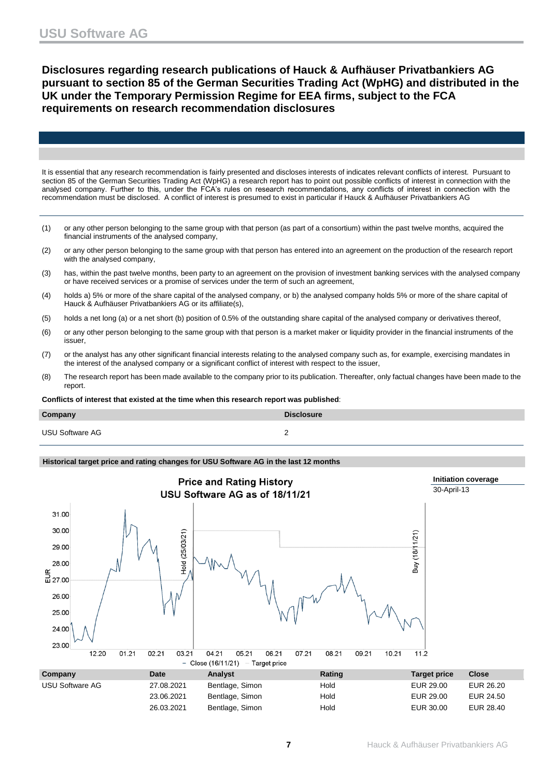**Disclosures regarding research publications of Hauck & Aufhäuser Privatbankiers AG pursuant to section 85 of the German Securities Trading Act (WpHG) and distributed in the UK under the Temporary Permission Regime for EEA firms, subject to the FCA requirements on research recommendation disclosures**

It is essential that any research recommendation is fairly presented and discloses interests of indicates relevant conflicts of interest. Pursuant to section 85 of the German Securities Trading Act (WpHG) a research report has to point out possible conflicts of interest in connection with the analysed company. Further to this, under the FCA's rules on research recommendations, any conflicts of interest in connection with the recommendation must be disclosed. A conflict of interest is presumed to exist in particular if Hauck & Aufhäuser Privatbankiers AG

- (1) or any other person belonging to the same group with that person (as part of a consortium) within the past twelve months, acquired the financial instruments of the analysed company,
- (2) or any other person belonging to the same group with that person has entered into an agreement on the production of the research report with the analysed company,
- (3) has, within the past twelve months, been party to an agreement on the provision of investment banking services with the analysed company or have received services or a promise of services under the term of such an agreement,
- (4) holds a) 5% or more of the share capital of the analysed company, or b) the analysed company holds 5% or more of the share capital of Hauck & Aufhäuser Privatbankiers AG or its affiliate(s),
- (5) holds a net long (a) or a net short (b) position of 0.5% of the outstanding share capital of the analysed company or derivatives thereof,
- (6) or any other person belonging to the same group with that person is a market maker or liquidity provider in the financial instruments of the issuer,
- (7) or the analyst has any other significant financial interests relating to the analysed company such as, for example, exercising mandates in the interest of the analysed company or a significant conflict of interest with respect to the issuer,
- (8) The research report has been made available to the company prior to its publication. Thereafter, only factual changes have been made to the report.

**Conflicts of interest that existed at the time when this research report was published**:

| Company                | <b>Disclosure</b> |
|------------------------|-------------------|
| <b>USU Software AG</b> |                   |

### **Historical target price and rating changes for USU Software AG in the last 12 months**

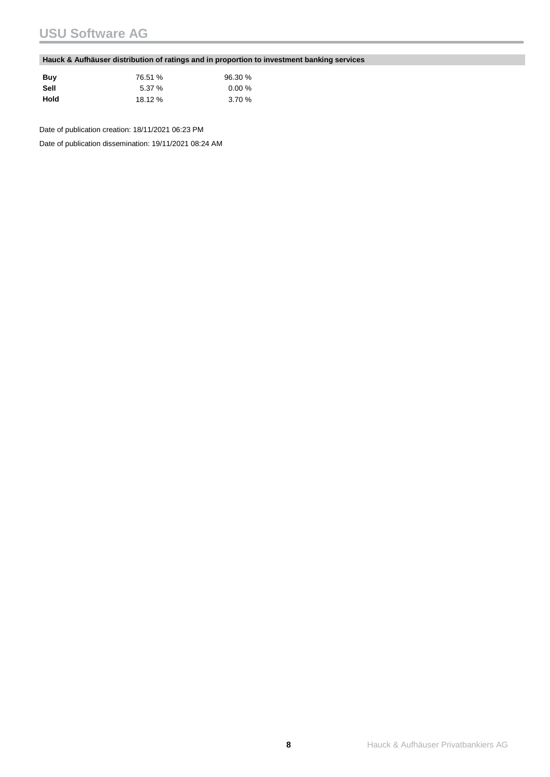# **USU Software AG**

### **Hauck & Aufhäuser distribution of ratings and in proportion to investment banking services**

| Buy  | 76.51 % | 96.30 % |
|------|---------|---------|
| Sell | 5.37%   | 0.00%   |
| Hold | 18.12 % | 3.70%   |

Date of publication creation: 18/11/2021 06:23 PM

Date of publication dissemination: 19/11/2021 08:24 AM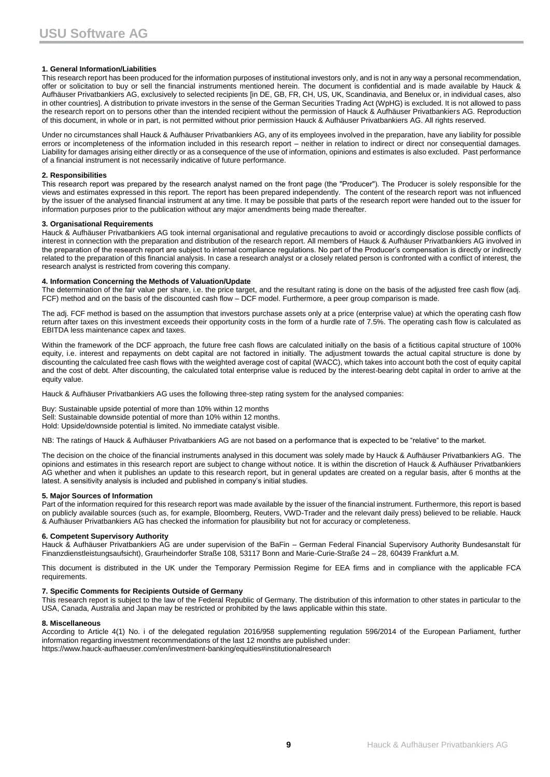#### **1. General Information/Liabilities**

This research report has been produced for the information purposes of institutional investors only, and is not in any way a personal recommendation, offer or solicitation to buy or sell the financial instruments mentioned herein. The document is confidential and is made available by Hauck & Aufhäuser Privatbankiers AG, exclusively to selected recipients [in DE, GB, FR, CH, US, UK, Scandinavia, and Benelux or, in individual cases, also in other countries]. A distribution to private investors in the sense of the German Securities Trading Act (WpHG) is excluded. It is not allowed to pass the research report on to persons other than the intended recipient without the permission of Hauck & Aufhäuser Privatbankiers AG. Reproduction of this document, in whole or in part, is not permitted without prior permission Hauck & Aufhäuser Privatbankiers AG. All rights reserved.

Under no circumstances shall Hauck & Aufhäuser Privatbankiers AG, any of its employees involved in the preparation, have any liability for possible errors or incompleteness of the information included in this research report – neither in relation to indirect or direct nor consequential damages. Liability for damages arising either directly or as a consequence of the use of information, opinions and estimates is also excluded. Past performance of a financial instrument is not necessarily indicative of future performance.

#### **2. Responsibilities**

This research report was prepared by the research analyst named on the front page (the "Producer"). The Producer is solely responsible for the views and estimates expressed in this report. The report has been prepared independently. The content of the research report was not influenced by the issuer of the analysed financial instrument at any time. It may be possible that parts of the research report were handed out to the issuer for information purposes prior to the publication without any major amendments being made thereafter.

#### **3. Organisational Requirements**

Hauck & Aufhäuser Privatbankiers AG took internal organisational and regulative precautions to avoid or accordingly disclose possible conflicts of interest in connection with the preparation and distribution of the research report. All members of Hauck & Aufhäuser Privatbankiers AG involved in the preparation of the research report are subject to internal compliance regulations. No part of the Producer's compensation is directly or indirectly related to the preparation of this financial analysis. In case a research analyst or a closely related person is confronted with a conflict of interest, the research analyst is restricted from covering this company.

#### **4. Information Concerning the Methods of Valuation/Update**

The determination of the fair value per share, i.e. the price target, and the resultant rating is done on the basis of the adjusted free cash flow (adj. FCF) method and on the basis of the discounted cash flow – DCF model. Furthermore, a peer group comparison is made.

The adj. FCF method is based on the assumption that investors purchase assets only at a price (enterprise value) at which the operating cash flow return after taxes on this investment exceeds their opportunity costs in the form of a hurdle rate of 7.5%. The operating cash flow is calculated as EBITDA less maintenance capex and taxes.

Within the framework of the DCF approach, the future free cash flows are calculated initially on the basis of a fictitious capital structure of 100% equity, i.e. interest and repayments on debt capital are not factored in initially. The adjustment towards the actual capital structure is done by discounting the calculated free cash flows with the weighted average cost of capital (WACC), which takes into account both the cost of equity capital and the cost of debt. After discounting, the calculated total enterprise value is reduced by the interest-bearing debt capital in order to arrive at the equity value.

Hauck & Aufhäuser Privatbankiers AG uses the following three-step rating system for the analysed companies:

Buy: Sustainable upside potential of more than 10% within 12 months Sell: Sustainable downside potential of more than 10% within 12 months. Hold: Upside/downside potential is limited. No immediate catalyst visible.

NB: The ratings of Hauck & Aufhäuser Privatbankiers AG are not based on a performance that is expected to be "relative" to the market.

The decision on the choice of the financial instruments analysed in this document was solely made by Hauck & Aufhäuser Privatbankiers AG. The opinions and estimates in this research report are subject to change without notice. It is within the discretion of Hauck & Aufhäuser Privatbankiers AG whether and when it publishes an update to this research report, but in general updates are created on a regular basis, after 6 months at the latest. A sensitivity analysis is included and published in company's initial studies.

#### **5. Major Sources of Information**

Part of the information required for this research report was made available by the issuer of the financial instrument. Furthermore, this report is based on publicly available sources (such as, for example, Bloomberg, Reuters, VWD-Trader and the relevant daily press) believed to be reliable. Hauck & Aufhäuser Privatbankiers AG has checked the information for plausibility but not for accuracy or completeness.

#### **6. Competent Supervisory Authority**

Hauck & Aufhäuser Privatbankiers AG are under supervision of the BaFin – German Federal Financial Supervisory Authority Bundesanstalt für Finanzdienstleistungsaufsicht), Graurheindorfer Straße 108, 53117 Bonn and Marie-Curie-Straße 24 – 28, 60439 Frankfurt a.M.

This document is distributed in the UK under the Temporary Permission Regime for EEA firms and in compliance with the applicable FCA requirements.

#### **7. Specific Comments for Recipients Outside of Germany**

This research report is subject to the law of the Federal Republic of Germany. The distribution of this information to other states in particular to the USA, Canada, Australia and Japan may be restricted or prohibited by the laws applicable within this state.

#### **8. Miscellaneous**

According to Article 4(1) No. i of the delegated regulation 2016/958 supplementing regulation 596/2014 of the European Parliament, further information regarding investment recommendations of the last 12 months are published under: https://www.hauck-aufhaeuser.com/en/investment-banking/equities#institutionalresearch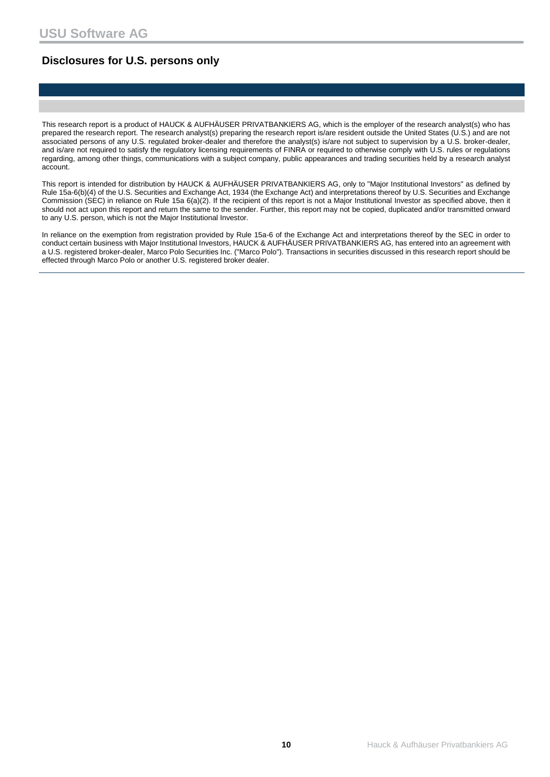### **Disclosures for U.S. persons only**

This research report is a product of HAUCK & AUFHÄUSER PRIVATBANKIERS AG, which is the employer of the research analyst(s) who has prepared the research report. The research analyst(s) preparing the research report is/are resident outside the United States (U.S.) and are not associated persons of any U.S. regulated broker-dealer and therefore the analyst(s) is/are not subject to supervision by a U.S. broker-dealer, and is/are not required to satisfy the regulatory licensing requirements of FINRA or required to otherwise comply with U.S. rules or regulations regarding, among other things, communications with a subject company, public appearances and trading securities held by a research analyst account.

This report is intended for distribution by HAUCK & AUFHÄUSER PRIVATBANKIERS AG, only to "Major Institutional Investors" as defined by Rule 15a-6(b)(4) of the U.S. Securities and Exchange Act, 1934 (the Exchange Act) and interpretations thereof by U.S. Securities and Exchange Commission (SEC) in reliance on Rule 15a 6(a)(2). If the recipient of this report is not a Major Institutional Investor as specified above, then it should not act upon this report and return the same to the sender. Further, this report may not be copied, duplicated and/or transmitted onward to any U.S. person, which is not the Major Institutional Investor.

In reliance on the exemption from registration provided by Rule 15a-6 of the Exchange Act and interpretations thereof by the SEC in order to conduct certain business with Major Institutional Investors, HAUCK & AUFHÄUSER PRIVATBANKIERS AG, has entered into an agreement with a U.S. registered broker-dealer, Marco Polo Securities Inc. ("Marco Polo"). Transactions in securities discussed in this research report should be effected through Marco Polo or another U.S. registered broker dealer.